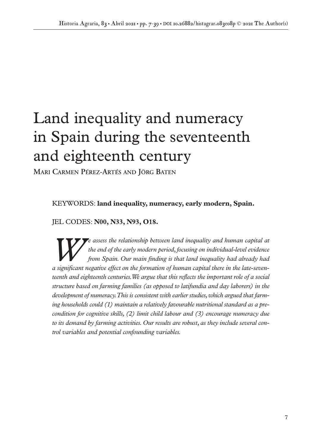# Land inequality and numeracy in Spain during the seventeenth and eighteenth century

**MARI CARMEN PÉREZ-ARTÉS AND JÖRG BATEN**

KEYWORDS: **land inequality, numeracy, early modern, Spain.**

JEL CODES: **N00, N33, N93, O18.**

*We assess the relationship between land inequality and human capital at*<br>the end of the early modern period, focusing on individual-level evidence<br>from Spain. Our main finding is that land inequality had already had *the end of the early modern period, focusing on individual-level evidence from Spain. Our main finding is that land inequality had already had a significant negative effect on the formation of human capital there in the late-seventeenth and eighteenth centuries. We argue that this reflects the important role of a social structure based on farming families (as opposed to latifundia and day laborers) in the development of numeracy. This is consistent with earlier studies, which argued that farming households could (1) maintain a relatively favourable nutritional standard as a precondition for cognitive skills, (2) limit child labour and (3) encourage numeracy due to its demand by farming activities. Our results are robust, as they include several control variables and potential confounding variables.*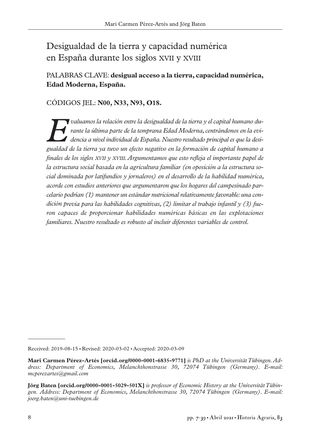# Desigualdad de la tierra y capacidad numérica en España durante los siglos XVII y XVIII

# PALABRAS CLAVE: **desigual acceso a la tierra, capacidad numérica, Edad Moderna, España.**

# CÓDIGOS JEL: **N00, N33, N93, O18.**

*Evaluamos la relación entre la desigualdad de la tierra y el capital humano durante la última parte de la temprana Edad Moderna, centrándonos en la evidencia a nivel individual de España. Nuestro resultado principal es que la desigualdad de la tierra ya tuvo un efecto negativo en la formación de capital humano a finales de los siglos XVII y XVIII. Argumentamos que esto refleja el importante papel de la estructura social basada en la agricultura familiar (en oposición a la estructura social dominada por latifundios y jornaleros) en el desarrollo de la habilidad numérica, acorde con estudios anteriores que argumentaron que los hogares del campesinado parcelario podrían (1) mantener un estándar nutricional relativamente favorable: una condición previa para las habilidades cognitivas, (2) limitar el trabajo infantil y (3) fueron capaces de proporcionar habilidades numéricas básicas en las explotaciones familiares. Nuestro resultado es robusto al incluir diferentes variables de control.*

Received: 2019-08-15 ■ Revised: 2020-03-02 ■ Accepted: 2020-03-09

**Mari Carmen Pérez-Artés [orcid.org/0000-0001-6835-9771]** *is PhD at the Universität Tübingen. Address: Department of Economics, Melanchthonstrasse 30, 72074 Tübingen (Germany). E-mail: mcperezartes@gmail.com*

**Jörg Baten [orcid.org/0000-0001-5029-501X]** *is professor of Economic History at the Universität Tübingen. Address: Department of Economics, Melanchthonstrasse 30, 72074 Tübingen (Germany). E-mail: joerg.baten@uni-tuebingen.de*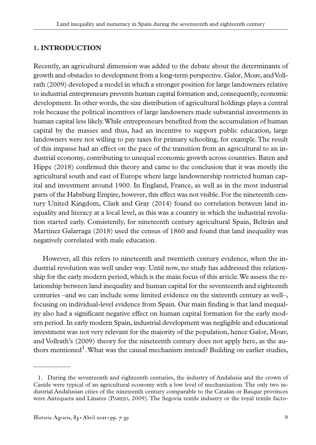#### **1. INTRODUCTION**

Recently, an agricultural dimension was added to the debate about the determinants of growth and obstacles to development from a long-term perspective. Galor, Moav, and Vollrath (2009) developed a model in which a stronger position for large landowners relative to industrial entrepreneurs prevents human capital formation and, consequently, economic development. In other words, the size distribution of agricultural holdings plays a central role because the political incentives of large landowners made substantial investments in human capital less likely. While entrepreneurs benefited from the accumulation of human capital by the masses and thus, had an incentive to support public education, large landowners were not willing to pay taxes for primary schooling, for example. The result of this impasse had an effect on the pace of the transition from an agricultural to an industrial economy, contributing to unequal economic growth across countries. Baten and Hippe (2018) confirmed this theory and came to the conclusion that it was mostly the agricultural south and east of Europe where large landownership restricted human capital and investment around 1900. In England, France, as well as in the most industrial parts of the Habsburg Empire, however, this effect was not visible. For the nineteenth century United Kingdom, Clark and Gray (2014) found no correlation between land inequality and literacy at a local level, as this was a country in which the industrial revolution started early. Consistently, for nineteenth century agricultural Spain, Beltrán and Martinez Galarraga (2018) used the census of 1860 and found that land inequality was negatively correlated with male education.

However, all this refers to nineteenth and twentieth century evidence, when the industrial revolution was well under way. Until now, no study has addressed this relationship for the early modern period, which is the main focus of this article. We assess the relationship between land inequality and human capital for the seventeenth and eighteenth centuries –and we can include some limited evidence on the sixteenth century as well–, focusing on individual-level evidence from Spain. Our main finding is that land inequality also had a significant negative effect on human capital formation for the early modern period. In early modern Spain, industrial development was negligible and educational investment was not very relevant for the majority of the population, hence Galor, Moav, and Vollrath's (2009) theory for the nineteenth century does not apply here, as the authors mentioned<sup>1</sup>. What was the causal mechanism instead? Building on earlier studies,

<sup>1.</sup> During the seventeenth and eighteenth centuries, the industry of Andalusia and the crown of Castile were typical of an agricultural economy with a low level of mechanization. The only two industrial Andalusian cities of the nineteenth century comparable to the Catalan or Basque provinces were Antequera and Linares (PAREJO, 2009). The Segovia textile industry or the royal textile facto-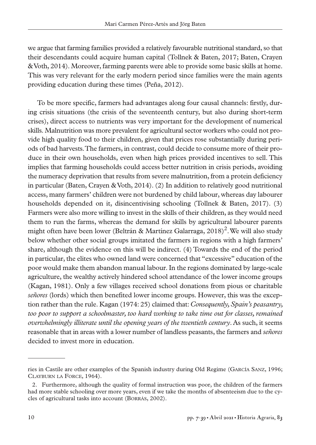we argue that farming families provided a relatively favourable nutritional standard, so that their descendants could acquire human capital (Tollnek & Baten, 2017; Baten, Crayen & Voth, 2014). Moreover, farming parents were able to provide some basic skills at home. This was very relevant for the early modern period since families were the main agents providing education during these times (Peña, 2012).

To be more specific, farmers had advantages along four causal channels: firstly, during crisis situations (the crisis of the seventeenth century, but also during short-term crises), direct access to nutrients was very important for the development of numerical skills. Malnutrition was more prevalent for agricultural sector workers who could not provide high quality food to their children, given that prices rose substantially during periods of bad harvests. The farmers, in contrast, could decide to consume more of their produce in their own households, even when high prices provided incentives to sell. This implies that farming households could access better nutrition in crisis periods, avoiding the numeracy deprivation that results from severe malnutrition, from a protein deficiency in particular (Baten, Crayen & Voth, 2014). (2) In addition to relatively good nutritional access, many farmers' children were not burdened by child labour, whereas day labourer households depended on it, disincentivising schooling (Tollnek & Baten, 2017). (3) Farmers were also more willing to invest in the skills of their children, as they would need them to run the farms, whereas the demand for skills by agricultural labourer parents might often have been lower (Beltrán & Martínez Galarraga,  $2018$ <sup>2</sup>. We will also study below whether other social groups imitated the farmers in regions with a high farmers' share, although the evidence on this will be indirect. (4) Towards the end of the period in particular, the elites who owned land were concerned that "excessive" education of the poor would make them abandon manual labour. In the regions dominated by large-scale agriculture, the wealthy actively hindered school attendance of the lower income groups (Kagan, 1981). Only a few villages received school donations from pious or charitable *señores* (lords) which then benefited lower income groups. However, this was the exception rather than the rule. Kagan (1974: 25) claimed that: *Consequently, Spain's peasantry, too poor to support a schoolmaster, too hard working to take time out for classes, remained overwhelmingly illiterate until the opening years of the twentieth century*. As such, it seems reasonable that in areas with a lower number of landless peasants, the farmers and *señores* decided to invest more in education.

ries in Castile are other examples of the Spanish industry during Old Regime (GARCÍA SANZ, 1996; CLAYBURN LA FORCE, 1964).

<sup>2.</sup> Furthermore, although the quality of formal instruction was poor, the children of the farmers had more stable schooling over more years, even if we take the months of absenteeism due to the cycles of agricultural tasks into account (BORRÁS, 2002).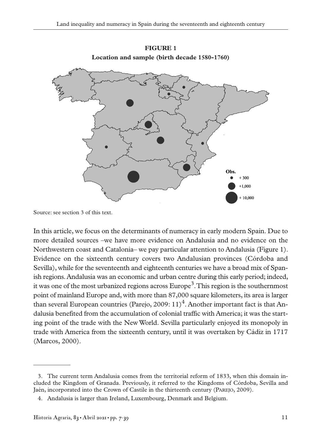

**FIGURE 1 Location and sample (birth decade 1580-1760)**

Source: see section 3 of this text.

In this article, we focus on the determinants of numeracy in early modern Spain. Due to more detailed sources –we have more evidence on Andalusia and no evidence on the Northwestern coast and Catalonia– we pay particular attention to Andalusia (Figure 1). Evidence on the sixteenth century covers two Andalusian provinces (Córdoba and Sevilla), while for the seventeenth and eighteenth centuries we have a broad mix of Spanish regions. Andalusia was an economic and urban centre during this early period; indeed, it was one of the most urbanized regions across  $\text{Europe}^3$ . This region is the southernmost point of mainland Europe and, with more than 87,000 square kilometers, its area is larger than several European countries (Parejo, 2009:  $11$ )<sup>4</sup>. Another important fact is that Andalusia benefited from the accumulation of colonial traffic with America; it was the starting point of the trade with the New World. Sevilla particularly enjoyed its monopoly in trade with America from the sixteenth century, until it was overtaken by Cádiz in 1717 (Marcos, 2000).

<sup>3.</sup> The current term Andalusia comes from the territorial reform of 1833, when this domain included the Kingdom of Granada. Previously, it referred to the Kingdoms of Córdoba, Sevilla and Jaén, incorporated into the Crown of Castile in the thirteenth century (PAREJO, 2009).

<sup>4.</sup> Andalusia is larger than Ireland, Luxembourg, Denmark and Belgium.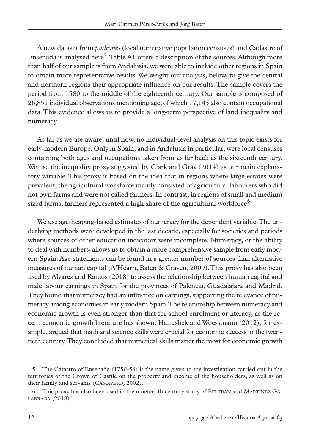A new dataset from *padrones* (local nominative population censuses) and Cadastre of Ensenada is analysed here<sup>5</sup>. Table A1 offers a description of the sources. Although more than half of our sample is from Andalusia, we were able to include other regions in Spain to obtain more representative results. We weight our analysis, below, to give the central and northern regions their appropriate influence on our results. The sample covers the period from 1580 to the middle of the eighteenth century. Our sample is composed of 26,851 individual observations mentioning age, of which 17,145 also contain occupational data. This evidence allows us to provide a long-term perspective of land inequality and numeracy.

As far as we are aware, until now, no individual-level analysis on this topic exists for early-modern Europe. Only in Spain, and in Andalusia in particular, were local censuses containing both ages and occupations taken from as far back as the sixteenth century. We use the inequality proxy suggested by Clark and Gray (2014) as our main explanatory variable. This proxy is based on the idea that in regions where large estates were prevalent, the agricultural workforce mainly consisted of agricultural labourers who did not own farms and were not called farmers. In contrast, in regions of small and medium sized farms, farmers represented a high share of the agricultural workforce<sup> $\degree$ </sup>.

We use age-heaping-based estimates of numeracy for the dependent variable. The underlying methods were developed in the last decade, especially for societies and periods where sources of other education indicators were incomplete. Numeracy, or the ability to deal with numbers, allows us to obtain a more comprehensive sample from early modern Spain. Age statements can be found in a greater number of sources than alternative measures of human capital (A'Hearn, Baten & Crayen, 2009). This proxy has also been used by Álvarez and Ramos (2018) to assess the relationship between human capital and male labour earnings in Spain for the provinces of Palencia, Guadalajara and Madrid. They found that numeracy had an influence on earnings, supporting the relevance of numeracy among economies in early modern Spain. The relationship between numeracy and economic growth is even stronger than that for school enrolment or literacy, as the recent economic growth literature has shown: Hanushek and Woessmann (2012), for example, argued that math and science skills were crucial for economic success in the twentieth century. They concluded that numerical skills matter the most for economic growth

<sup>5.</sup> The Catastro of Ensenada (1750-56) is the name given to the investigation carried out in the territories of the Crown of Castile on the property and income of the householders, as well as on their family and servants (CAMARERO, 2002).

<sup>6.</sup> This proxy has also been used in the nineteenth century study of BELTRÁN and MARTÍNEZ GA-LARRAGA (2018).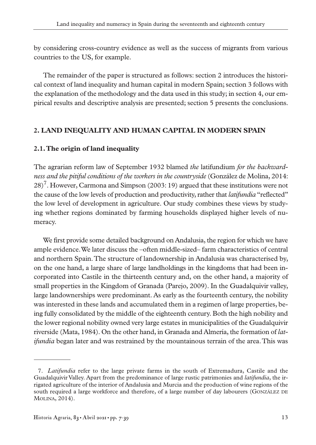by considering cross-country evidence as well as the success of migrants from various countries to the US, for example.

The remainder of the paper is structured as follows: section 2 introduces the historical context of land inequality and human capital in modern Spain; section 3 follows with the explanation of the methodology and the data used in this study; in section 4, our empirical results and descriptive analysis are presented; section 5 presents the conclusions.

# **2. LAND INEQUALITY AND HUMAN CAPITAL IN MODERN SPAIN**

# **2.1. The origin of land inequality**

The agrarian reform law of September 1932 blamed *the* latifundium *for the backwardness and the pitiful conditions of the workers in the countryside* (González de Molina, 2014:  $28$ <sup>7</sup>. However, Carmona and Simpson (2003: 19) argued that these institutions were not the cause of the low levels of production and productivity, rather that *latifundia* "reflected" the low level of development in agriculture. Our study combines these views by studying whether regions dominated by farming households displayed higher levels of numeracy.

We first provide some detailed background on Andalusia, the region for which we have ample evidence. We later discuss the –often middle-sized– farm characteristics of central and northern Spain. The structure of landownership in Andalusia was characterised by, on the one hand, a large share of large landholdings in the kingdoms that had been incorporated into Castile in the thirteenth century and, on the other hand, a majority of small properties in the Kingdom of Granada (Parejo, 2009). In the Guadalquivir valley, large landownerships were predominant. As early as the fourteenth century, the nobility was interested in these lands and accumulated them in a regimen of large properties, being fully consolidated by the middle of the eighteenth century. Both the high nobility and the lower regional nobility owned very large estates in municipalities of the Guadalquivir riverside (Mata, 1984). On the other hand, in Granada and Almería, the formation of *latifundia* began later and was restrained by the mountainous terrain of the area. This was

<sup>7.</sup> *Latifundia* refer to the large private farms in the south of Extremadura, Castile and the Guadalquivir Valley. Apart from the predominance of large rustic patrimonies and *latifundia*, the irrigated agriculture of the interior of Andalusia and Murcia and the production of wine regions of the south required a large workforce and therefore, of a large number of day labourers (GONZÁLEZ DE MOLINA, 2014).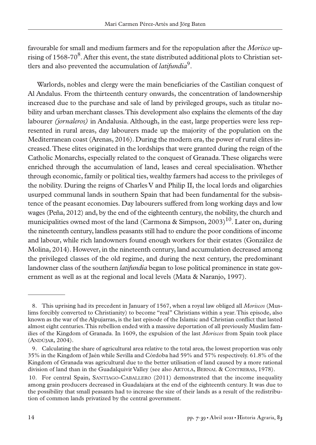favourable for small and medium farmers and for the repopulation after the *Morisco* uprising of 1568-70 $8$ . After this event, the state distributed additional plots to Christian settlers and also prevented the accumulation of *latifundia*<sup>9</sup>.

Warlords, nobles and clergy were the main beneficiaries of the Castilian conquest of Al Andalus. From the thirteenth century onwards, the concentration of landownership increased due to the purchase and sale of land by privileged groups, such as titular nobility and urban merchant classes. This development also explains the elements of the day labourer *(jornaleros)* in Andalusia. Although, in the east, large properties were less represented in rural areas, day labourers made up the majority of the population on the Mediterranean coast (Arenas, 2016). During the modern era, the power of rural elites increased. These elites originated in the lordships that were granted during the reign of the Catholic Monarchs, especially related to the conquest of Granada. These oligarchs were enriched through the accumulation of land, leases and cereal specialisation. Whether through economic, family or political ties, wealthy farmers had access to the privileges of the nobility. During the reigns of Charles V and Philip II, the local lords and oligarchies usurped communal lands in southern Spain that had been fundamental for the subsistence of the peasant economies. Day labourers suffered from long working days and low wages (Peña, 2012) and, by the end of the eighteenth century, the nobility, the church and municipalities owned most of the land (Carmona & Simpson, 2003)<sup>10</sup>. Later on, during the nineteenth century, landless peasants still had to endure the poor conditions of income and labour, while rich landowners found enough workers for their estates (González de Molina, 2014). However, in the nineteenth century, land accumulation decreased among the privileged classes of the old regime, and during the next century, the predominant landowner class of the southern *latifundia* began to lose political prominence in state government as well as at the regional and local levels (Mata & Naranjo, 1997).

<sup>8.</sup> This uprising had its precedent in January of 1567, when a royal law obliged all *Moriscos* (Muslims forcibly converted to Christianity) to become "real" Christians within a year. This episode, also known as the war of the Alpujarras, is the last episode of the Islamic and Christian conflict that lasted almost eight centuries. This rebellion ended with a massive deportation of all previously Muslim families of the Kingdom of Granada. In 1609, the expulsion of the last *Moriscos* from Spain took place (ANDÚJAR, 2004).

<sup>9.</sup> Calculating the share of agricultural area relative to the total area, the lowest proportion was only 35% in the Kingdom of Jaén while Sevilla and Córdoba had 59% and 57% respectively. 61.8% of the Kingdom of Granada was agricultural due to the better utilisation of land caused by a more rational division of land than in the Guadalquivir Valley (see also ARTOLA, BERNAL & CONTRERAS, 1978).

<sup>10.</sup> For central Spain, SANTIAGO-CABALLERO (2011) demonstrated that the income inequality among grain producers decreased in Guadalajara at the end of the eighteenth century. It was due to the possibility that small peasants had to increase the size of their lands as a result of the redistribution of common lands privatized by the central government.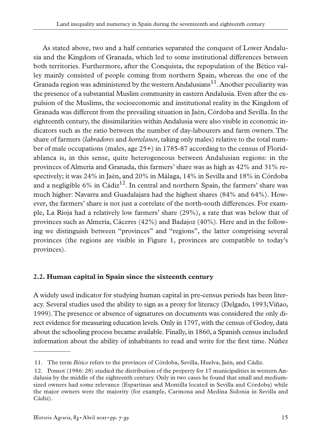As stated above, two and a half centuries separated the conquest of Lower Andalusia and the Kingdom of Granada, which led to some institutional differences between both territories. Furthermore, after the Conquista, the repopulation of the Bético valley mainly consisted of people coming from northern Spain, whereas the one of the Granada region was administered by the western Andalusians<sup>11</sup>. Another peculiarity was the presence of a substantial Muslim community in eastern Andalusia. Even after the expulsion of the Muslims, the socioeconomic and institutional reality in the Kingdom of Granada was different from the prevailing situation in Jaén, Córdoba and Sevilla. In the eighteenth century, the dissimilarities within Andalusia were also visible in economic indicators such as the ratio between the number of day-labourers and farm owners. The share of farmers (*labradores* and *hortelanos*, taking only males) relative to the total number of male occupations (males, age 25+) in 1785-87 according to the census of Floridablanca is, in this sense, quite heterogeneous between Andalusian regions: in the provinces of Almería and Granada, this farmers' share was as high as 42% and 31% respectively; it was 24% in Jaén, and 20% in Málaga, 14% in Sevilla and 18% in Córdoba and a negligible 6% in  $C\acute{a}$ diz<sup>12</sup>. In central and northern Spain, the farmers' share was much higher: Navarra and Guadalajara had the highest shares (84% and 64%). However, the farmers' share is not just a correlate of the north-south differences. For example, La Rioja had a relatively low farmers' share (29%), a rate that was below that of provinces such as Almería, Cáceres (42%) and Badajoz (40%). Here and in the following we distinguish between "provinces" and "regions", the latter comprising several provinces (the regions are visible in Figure 1, provinces are compatible to today's provinces).

# **2.2. Human capital in Spain since the sixteenth century**

A widely used indicator for studying human capital in pre-census periods has been literacy. Several studies used the ability to sign as a proxy for literacy (Delgado, 1993; Viñao, 1999). The presence or absence of signatures on documents was considered the only direct evidence for measuring education levels. Only in 1797, with the census of Godoy, data about the schooling process became available. Finally, in 1860, a Spanish census included information about the ability of inhabitants to read and write for the first time. Núñez

<sup>11.</sup> The term *Bético* refers to the provinces of Córdoba, Sevilla, Huelva, Jaén, and Cádiz.

<sup>12.</sup> Ponsot (1986: 28) studied the distribution of the property for 17 municipalities in western Andalusia by the middle of the eighteenth century. Only in two cases he found that small and mediumsized owners had some relevance (Espartinas and Montilla located in Sevilla and Córdoba) while the major owners were the majority (for example, Carmona and Medina Sidonia in Sevilla and Cádiz).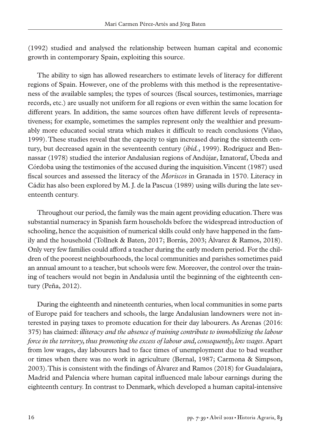(1992) studied and analysed the relationship between human capital and economic growth in contemporary Spain, exploiting this source.

The ability to sign has allowed researchers to estimate levels of literacy for different regions of Spain. However, one of the problems with this method is the representativeness of the available samples; the types of sources (fiscal sources, testimonies, marriage records, etc.) are usually not uniform for all regions or even within the same location for different years. In addition, the same sources often have different levels of representativeness; for example, sometimes the samples represent only the wealthier and presumably more educated social strata which makes it difficult to reach conclusions (Viñao, 1999). These studies reveal that the capacity to sign increased during the sixteenth century, but decreased again in the seventeenth century (*ibíd.*, 1999). Rodríguez and Bennassar (1978) studied the interior Andalusian regions of Andújar, Iznatoraf, Úbeda and Córdoba using the testimonies of the accused during the inquisition. Vincent (1987) used fiscal sources and assessed the literacy of the *Moriscos* in Granada in 1570. Literacy in Cádiz has also been explored by M. J. de la Pascua (1989) using wills during the late seventeenth century.

Throughout our period, the family was the main agent providing education. There was substantial numeracy in Spanish farm households before the widespread introduction of schooling, hence the acquisition of numerical skills could only have happened in the family and the household (Tollnek & Baten, 2017; Borrás, 2003; Álvarez & Ramos, 2018). Only very few families could afford a teacher during the early modern period. For the children of the poorest neighbourhoods, the local communities and parishes sometimes paid an annual amount to a teacher, but schools were few. Moreover, the control over the training of teachers would not begin in Andalusia until the beginning of the eighteenth century (Peña, 2012).

During the eighteenth and nineteenth centuries, when local communities in some parts of Europe paid for teachers and schools, the large Andalusian landowners were not interested in paying taxes to promote education for their day labourers. As Arenas (2016: 375) has claimed: *illiteracy and the absence of training contribute to immobilizing the labour force in the territory, thus promoting the excess of labour and, consequently, low wages*. Apart from low wages, day labourers had to face times of unemployment due to bad weather or times when there was no work in agriculture (Bernal, 1987; Carmona & Simpson, 2003). This is consistent with the findings of Álvarez and Ramos (2018) for Guadalajara, Madrid and Palencia where human capital influenced male labour earnings during the eighteenth century. In contrast to Denmark, which developed a human capital-intensive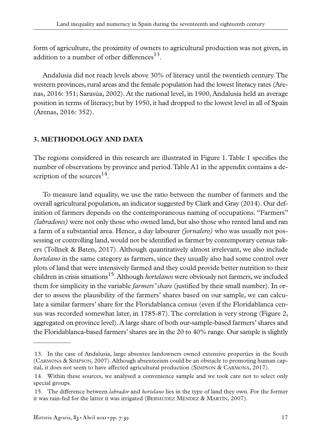form of agriculture, the proximity of owners to agricultural production was not given, in addition to a number of other differences $^{13}$ .

Andalusia did not reach levels above 30% of literacy until the twentieth century. The western provinces, rural areas and the female population had the lowest literacy rates (Arenas, 2016: 351; Sarasúa, 2002). At the national level, in 1900, Andalusia held an average position in terms of literacy; but by 1950, it had dropped to the lowest level in all of Spain (Arenas, 2016: 352).

#### **3. METHODOLOGY AND DATA**

The regions considered in this research are illustrated in Figure 1. Table 1 specifies the number of observations by province and period. Table A1 in the appendix contains a description of the sources $^{14}$ .

To measure land equality, we use the ratio between the number of farmers and the overall agricultural population, an indicator suggested by Clark and Gray (2014). Our definition of farmers depends on the contemporaneous naming of occupations. "Farmers" *(labradores)* were not only those who owned land, but also those who rented land and ran a farm of a substantial area. Hence, a day labourer *(jornalero)* who was usually not possessing or controlling land, would not be identified as farmer by contemporary census takers (Tollnek & Baten, 2017). Although quantitatively almost irrelevant, we also include *hortelano* in the same category as farmers, since they usually also had some control over plots of land that were intensively farmed and they could provide better nutrition to their children in crisis situations<sup>15</sup>. Although *hortelanos* were obviously not farmers, we included them for simplicity in the variable *farmers' share* (justified by their small number). In order to assess the plausibility of the farmers' shares based on our sample, we can calculate a similar farmers' share for the Floridablanca census (even if the Floridablanca census was recorded somewhat later, in 1785-87). The correlation is very strong (Figure 2, aggregated on province level). A large share of both our-sample-based farmers' shares and the Floridablanca-based farmers' shares are in the 20 to 40% range. Our sample is slightly

<sup>13.</sup> In the case of Andalusia, large absentee landowners owned extensive properties in the South (CARMONA & SIMPSON, 2007). Although absenteeism could be an obstacle to promoting human capital, it does not seem to have affected agricultural production (SIMPSON & CARMONA, 2017).

<sup>14.</sup> Within these sources, we analysed a convenience sample and we took care not to select only special groups.

<sup>15.</sup> The difference between *labrador* and *hortelano* lies in the type of land they own. For the former it was rain-fed for the latter it was irrigated (BERMÚDEZ MÉNDEZ & MARTÍN, 2007).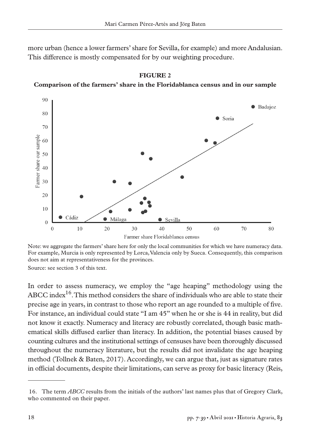more urban (hence a lower farmers' share for Sevilla, for example) and more Andalusian. This difference is mostly compensated for by our weighting procedure.



**FIGURE 2**

#### **Comparison of the farmers' share in the Floridablanca census and in our sample**

Note: we aggregate the farmers' share here for only the local communities for which we have numeracy data. For example, Murcia is only represented by Lorca, Valencia only by Sueca. Consequently, this comparison does not aim at representativeness for the provinces.

Source: see section 3 of this text.

In order to assess numeracy, we employ the "age heaping" methodology using the ABCC index<sup>16</sup>. This method considers the share of individuals who are able to state their precise age in years, in contrast to those who report an age rounded to a multiple of five. For instance, an individual could state "I am 45" when he or she is 44 in reality, but did not know it exactly. Numeracy and literacy are robustly correlated, though basic mathematical skills diffused earlier than literacy. In addition, the potential biases caused by counting cultures and the institutional settings of censuses have been thoroughly discussed throughout the numeracy literature, but the results did not invalidate the age heaping method (Tollnek & Baten, 2017). Accordingly, we can argue that, just as signature rates in official documents, despite their limitations, can serve as proxy for basic literacy (Reis,

<sup>16.</sup> The term *ABCC* results from the initials of the authors' last names plus that of Gregory Clark, who commented on their paper.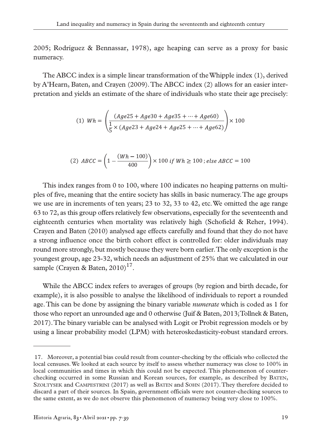2005; Rodríguez & Bennassar, 1978), age heaping can serve as a proxy for basic numeracy.

The ABCC index is a simple linear transformation of the Whipple index (1), derived by A'Hearn, Baten, and Crayen (2009). The ABCC index (2) allows for an easier interpretation and yields an estimate of the share of individuals who state their age precisely:

(1) 
$$
Wh = \left(\frac{(Age25 + Age30 + Age35 + \dots + Age60)}{\frac{1}{5} \times (Age23 + Age24 + Age25 + \dots + Age62)}\right) \times 100
$$

(2) 
$$
ABCC = \left(1 - \frac{(Wh - 100)}{400}\right) \times 100 \text{ if } Wh \ge 100 \text{ ; else } ABCC = 100
$$

This index ranges from 0 to 100, where 100 indicates no heaping patterns on multiples of five, meaning that the entire society has skills in basic numeracy. The age groups we use are in increments of ten years; 23 to 32, 33 to 42, etc. We omitted the age range 63 to 72, as this group offers relatively few observations, especially for the seventeenth and eighteenth centuries when mortality was relatively high (Schofield & Reher, 1994). Crayen and Baten (2010) analysed age effects carefully and found that they do not have a strong influence once the birth cohort effect is controlled for: older individuals may round more strongly, but mostly because they were born earlier. The only exception is the youngest group, age 23-32, which needs an adjustment of 25% that we calculated in our sample (Crayen & Baten,  $2010$ )<sup>17</sup>.

While the ABCC index refers to averages of groups (by region and birth decade, for example), it is also possible to analyse the likelihood of individuals to report a rounded age. This can be done by assigning the binary variable *numerate* which is coded as 1 for those who report an unrounded age and 0 otherwise (Juif & Baten, 2013; Tollnek & Baten, 2017). The binary variable can be analysed with Logit or Probit regression models or by using a linear probability model (LPM) with heteroskedasticity-robust standard errors.

<sup>17.</sup> Moreover, a potential bias could result from counter-checking by the officials who collected the local censuses. We looked at each source by itself to assess whether numeracy was close to 100% in local communities and times in which this could not be expected. This phenomenon of counterchecking occurred in some Russian and Korean sources, for example, as described by BATEN, SZOŁTYSEK and CAMPESTRINI (2017) as well as BATEN and SOHN (2017). They therefore decided to discard a part of their sources. In Spain, government officials were not counter-checking sources to the same extent, as we do not observe this phenomenon of numeracy being very close to 100%.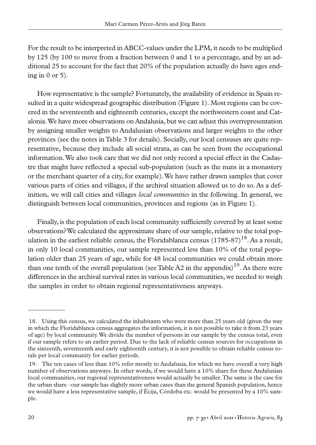For the result to be interpreted in ABCC-values under the LPM, it needs to be multiplied by 125 (by 100 to move from a fraction between 0 and 1 to a percentage, and by an additional 25 to account for the fact that 20% of the population actually do have ages ending in  $0$  or  $5$ ).

How representative is the sample? Fortunately, the availability of evidence in Spain resulted in a quite widespread geographic distribution (Figure 1). Most regions can be covered in the seventeenth and eighteenth centuries, except the northwestern coast and Catalonia. We have more observations on Andalusia, but we can adjust this overrepresentation by assigning smaller weights to Andalusian observations and larger weights to the other provinces (see the notes in Table 3 for details). Socially, our local censuses are quite representative, because they include all social strata, as can be seen from the occupational information. We also took care that we did not only record a special effect in the Cadastre that might have reflected a special sub-population (such as the nuns in a monastery or the merchant quarter of a city, for example). We have rather drawn samples that cover various parts of cities and villages, if the archival situation allowed us to do so. As a definition, we will call cities and villages *local communities* in the following. In general, we distinguish between local communities, provinces and regions (as in Figure 1).

Finally, is the population of each local community sufficiently covered by at least some observations? We calculated the approximate share of our sample, relative to the total population in the earliest reliable census, the Floridablanca census  $(1785-87)^{18}$ . As a result, in only 10 local communities, our sample represented less than 10% of the total population older than 25 years of age, while for 48 local communities we could obtain more than one tenth of the overall population (see Table A2 in the appendix)<sup>19</sup>. As there were differences in the archival survival rates in various local communities, we needed to weigh the samples in order to obtain regional representativeness anyways.

<sup>18.</sup> Using this census, we calculated the inhabitants who were more than 25 years old (given the way in which the Floridablanca census aggregates the information, it is not possible to take it from 23 years of age) by local community. We divide the number of persons in our sample by the census total, even if our sample refers to an earlier period. Due to the lack of reliable census sources for occupations in the sixteenth, seventeenth and early eighteenth century, it is not possible to obtain reliable census totals per local community for earlier periods.

<sup>19.</sup> The ten cases of less than 10% refer mostly to Andalusia, for which we have overall a very high number of observations anyways. In other words, if we would have a 10% share for these Andalusian local communities, our regional representativeness would actually be smaller. The same is the case for the urban share –our sample has slightly more urban cases than the general Spanish population, hence we would have a less representative sample, if Écija, Córdoba etc. would be presented by a 10% sample.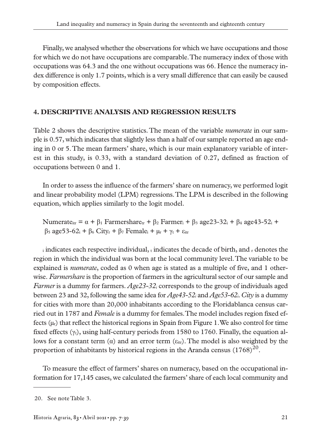Finally, we analysed whether the observations for which we have occupations and those for which we do not have occupations are comparable. The numeracy index of those with occupations was 64.3 and the one without occupations was 66. Hence the numeracy index difference is only 1.7 points, which is a very small difference that can easily be caused by composition effects.

#### **4. DESCRIPTIVE ANALYSIS AND REGRESSION RESULTS**

Table 2 shows the descriptive statistics. The mean of the variable *numerate* in our sample is 0.57, which indicates that slightly less than a half of our sample reported an age ending in 0 or 5. The mean farmers' share, which is our main explanatory variable of interest in this study, is 0.33, with a standard deviation of 0.27, defined as fraction of occupations between 0 and 1.

In order to assess the influence of the farmers' share on numeracy, we performed logit and linear probability model (LPM) regressions. The LPM is described in the following equation, which applies similarly to the logit model.

Numerate<sub>itr</sub> =  $\alpha$  +  $\beta_1$  Farmershare<sub>tr</sub> +  $\beta_2$  Farmer<sub>i</sub> +  $\beta_3$  age23-32<sub>i</sub> +  $\beta_4$  age43-52<sub>i</sub> +  $β_5$  age53-62<sub>i</sub> +  $β_6$  City<sub>r</sub> +  $β_7$  Female<sub>i</sub> +  $μ$ <sub>r</sub> +  $γ$ <sub>t</sub> + ε<sub>itr</sub>

i indicates each respective individual, t indicates the decade of birth, and r denotes the region in which the individual was born at the local community level. The variable to be explained is *numerate*, coded as 0 when age is stated as a multiple of five, and 1 otherwise. *Farmershare* is the proportion of farmers in the agricultural sector of our sample and *Farmer* is a dummy for farmers. *Age23-32i* corresponds to the group of individuals aged between 23 and 32, following the same idea for *Age43-52i* and *Age53-62i*. *City* is a dummy for cities with more than 20,000 inhabitants according to the Floridablanca census carried out in 1787 and *Female* is a dummy for females. The model includes region fixed effects  $(\mu_r)$  that reflect the historical regions in Spain from Figure 1. We also control for time fixed effects  $(y_t)$ , using half-century periods from 1580 to 1760. Finally, the equation allows for a constant term ( $\alpha$ ) and an error term ( $\varepsilon_{\text{irr}}$ ). The model is also weighted by the proportion of inhabitants by historical regions in the Aranda census  $(1768)^{20}$ .

To measure the effect of farmers' shares on numeracy, based on the occupational information for 17,145 cases, we calculated the farmers' share of each local community and

<sup>20.</sup> See note Table 3.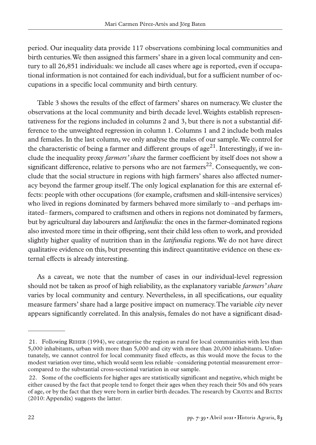period. Our inequality data provide 117 observations combining local communities and birth centuries. We then assigned this farmers' share in a given local community and century to all 26,851 individuals: we include all cases where age is reported, even if occupational information is not contained for each individual, but for a sufficient number of occupations in a specific local community and birth century.

Table 3 shows the results of the effect of farmers' shares on numeracy. We cluster the observations at the local community and birth decade level. Weights establish representativeness for the regions included in columns 2 and 3, but there is not a substantial difference to the unweighted regression in column 1. Columns 1 and 2 include both males and females. In the last column, we only analyse the males of our sample. We control for the characteristic of being a farmer and different groups of age<sup>21</sup>. Interestingly, if we include the inequality proxy *farmers' share* the farmer coefficient by itself does not show a significant difference, relative to persons who are not farmers<sup>22</sup>. Consequently, we conclude that the social structure in regions with high farmers' shares also affected numeracy beyond the farmer group itself. The only logical explanation for this are external effects: people with other occupations (for example, craftsmen and skill-intensive services) who lived in regions dominated by farmers behaved more similarly to –and perhaps imitated– farmers, compared to craftsmen and others in regions not dominated by farmers, but by agricultural day labourers and *latifundia*: the ones in the farmer-dominated regions also invested more time in their offspring, sent their child less often to work, and provided slightly higher quality of nutrition than in the *latifundia* regions. We do not have direct qualitative evidence on this, but presenting this indirect quantitative evidence on these external effects is already interesting.

As a caveat, we note that the number of cases in our individual-level regression should not be taken as proof of high reliability, as the explanatory variable *farmers' share* varies by local community and century. Nevertheless, in all specifications, our equality measure farmers' share had a large positive impact on numeracy. The variable *city* never appears significantly correlated. In this analysis, females do not have a significant disad-

<sup>21.</sup> Following REHER (1994), we categorise the region as rural for local communities with less than 5,000 inhabitants, urban with more than 5,000 and city with more than 20,000 inhabitants. Unfortunately, we cannot control for local community fixed effects, as this would move the focus to the modest variation over time, which would seem less reliable –considering potential measurement error– compared to the substantial cross-sectional variation in our sample.

<sup>22.</sup> Some of the coefficients for higher ages are statistically significant and negative, which might be either caused by the fact that people tend to forget their ages when they reach their 50s and 60s years of age, or by the fact that they were born in earlier birth decades. The research by CRAYEN and BATEN (2010: Appendix) suggests the latter.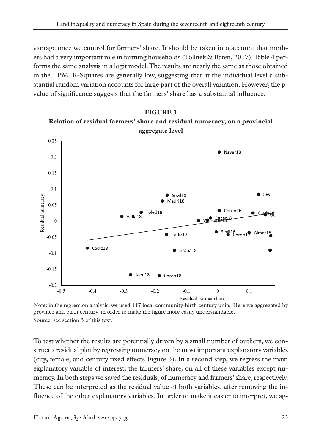vantage once we control for farmers' share. It should be taken into account that mothers had a very important role in farming households (Tollnek & Baten, 2017). Table 4 performs the same analysis in a logit model. The results are nearly the same as those obtained in the LPM. R-Squares are generally low, suggesting that at the individual level a substantial random variation accounts for large part of the overall variation. However, the pvalue of significance suggests that the farmers' share has a substantial influence.

#### **FIGURE 3**





Note: in the regression analysis, we used 117 local community-birth century units. Here we aggregated by province and birth century, in order to make the figure more easily understandable. Source: see section 3 of this text.

To test whether the results are potentially driven by a small number of outliers, we construct a residual plot by regressing numeracy on the most important explanatory variables (city, female, and century fixed effects Figure 3). In a second step, we regress the main explanatory variable of interest, the farmers' share, on all of these variables except numeracy. In both steps we saved the residuals, of numeracy and farmers' share, respectively. These can be interpreted as the residual value of both variables, after removing the influence of the other explanatory variables. In order to make it easier to interpret, we ag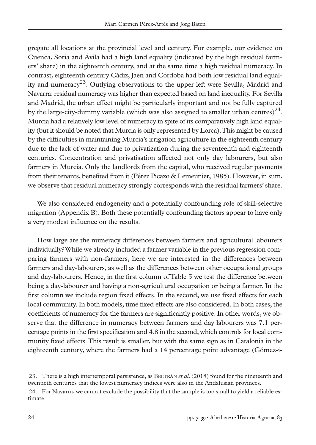gregate all locations at the provincial level and century. For example, our evidence on Cuenca, Soria and Ávila had a high land equality (indicated by the high residual farmers' share) in the eighteenth century, and at the same time a high residual numeracy. In contrast, eighteenth century Cádiz, Jaén and Córdoba had both low residual land equality and numeracy<sup>23</sup>. Outlying observations to the upper left were Sevilla, Madrid and Navarra: residual numeracy was higher than expected based on land inequality. For Sevilla and Madrid, the urban effect might be particularly important and not be fully captured by the large-city-dummy variable (which was also assigned to smaller urban centres)<sup>24</sup>. Murcia had a relatively low level of numeracy in spite of its comparatively high land equality (but it should be noted that Murcia is only represented by Lorca). This might be caused by the difficulties in maintaining Murcia's irrigation agriculture in the eighteenth century due to the lack of water and due to privatization during the seventeenth and eighteenth centuries. Concentration and privatisation affected not only day labourers, but also farmers in Murcia. Only the landlords from the capital, who received regular payments from their tenants, benefited from it (Pérez Picazo & Lemeunier, 1985). However, in sum, we observe that residual numeracy strongly corresponds with the residual farmers' share.

We also considered endogeneity and a potentially confounding role of skill-selective migration (Appendix B). Both these potentially confounding factors appear to have only a very modest influence on the results.

How large are the numeracy differences between farmers and agricultural labourers individually? While we already included a farmer variable in the previous regression comparing farmers with non-farmers, here we are interested in the differences between farmers and day-labourers, as well as the differences between other occupational groups and day-labourers. Hence, in the first column of Table 5 we test the difference between being a day-labourer and having a non-agricultural occupation or being a farmer. In the first column we include region fixed effects. In the second, we use fixed effects for each local community. In both models, time fixed effects are also considered. In both cases, the coefficients of numeracy for the farmers are significantly positive. In other words, we observe that the difference in numeracy between farmers and day labourers was 7.1 percentage points in the first specification and 4.8 in the second, which controls for local community fixed effects. This result is smaller, but with the same sign as in Catalonia in the eighteenth century, where the farmers had a 14 percentage point advantage (Gómez-i-

<sup>23.</sup> There is a high intertemporal persistence, as BELTRÁN *et al.* (2018) found for the nineteenth and twentieth centuries that the lowest numeracy indices were also in the Andalusian provinces.

<sup>24.</sup> For Navarra, we cannot exclude the possibility that the sample is too small to yield a reliable estimate.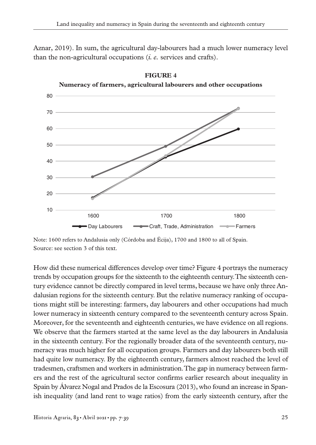Aznar, 2019). In sum, the agricultural day-labourers had a much lower numeracy level than the non-agricultural occupations (*i. e.* services and crafts).





How did these numerical differences develop over time? Figure 4 portrays the numeracy trends by occupation groups for the sixteenth to the eighteenth century. The sixteenth century evidence cannot be directly compared in level terms, because we have only three Andalusian regions for the sixteenth century. But the relative numeracy ranking of occupations might still be interesting: farmers, day labourers and other occupations had much lower numeracy in sixteenth century compared to the seventeenth century across Spain. Moreover, for the seventeenth and eighteenth centuries, we have evidence on all regions. We observe that the farmers started at the same level as the day labourers in Andalusia in the sixteenth century. For the regionally broader data of the seventeenth century, numeracy was much higher for all occupation groups. Farmers and day labourers both still had quite low numeracy. By the eighteenth century, farmers almost reached the level of tradesmen, craftsmen and workers in administration. The gap in numeracy between farmers and the rest of the agricultural sector confirms earlier research about inequality in Spain by Álvarez Nogal and Prados de la Escosura (2013), who found an increase in Spanish inequality (and land rent to wage ratios) from the early sixteenth century, after the

Note: 1600 refers to Andalusia only (Córdoba and Écija), 1700 and 1800 to all of Spain. Source: see section 3 of this text.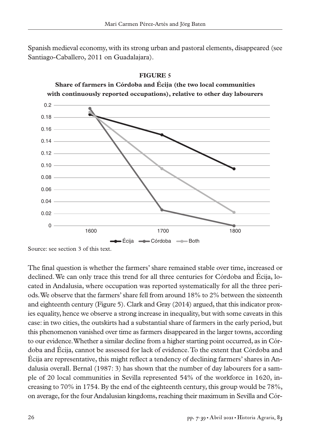Spanish medieval economy, with its strong urban and pastoral elements, disappeared (see Santiago-Caballero, 2011 on Guadalajara).



Source: see section 3 of this text.

The final question is whether the farmers' share remained stable over time, increased or declined. We can only trace this trend for all three centuries for Córdoba and Écija, located in Andalusia, where occupation was reported systematically for all the three periods. We observe that the farmers' share fell from around 18% to 2% between the sixteenth and eighteenth century (Figure 5). Clark and Gray (2014) argued, that this indicator proxies equality, hence we observe a strong increase in inequality, but with some caveats in this case: in two cities, the outskirts had a substantial share of farmers in the early period, but this phenomenon vanished over time as farmers disappeared in the larger towns, according to our evidence. Whether a similar decline from a higher starting point occurred, as in Córdoba and Écija, cannot be assessed for lack of evidence. To the extent that Córdoba and Écija are representative, this might reflect a tendency of declining farmers' shares in Andalusia overall. Bernal (1987: 3) has shown that the number of day labourers for a sample of 20 local communities in Sevilla represented 54% of the workforce in 1620, increasing to 70% in 1754. By the end of the eighteenth century, this group would be 78%, on average, for the four Andalusian kingdoms, reaching their maximum in Sevilla and Cór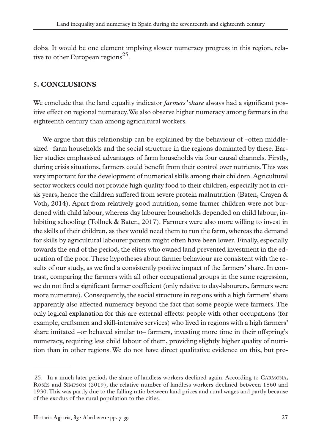doba. It would be one element implying slower numeracy progress in this region, relative to other European regions<sup>25</sup>.

#### **5. CONCLUSIONS**

We conclude that the land equality indicator *farmers' share* always had a significant positive effect on regional numeracy. We also observe higher numeracy among farmers in the eighteenth century than among agricultural workers.

We argue that this relationship can be explained by the behaviour of –often middlesized– farm households and the social structure in the regions dominated by these. Earlier studies emphasised advantages of farm households via four causal channels. Firstly, during crisis situations, farmers could benefit from their control over nutrients. This was very important for the development of numerical skills among their children. Agricultural sector workers could not provide high quality food to their children, especially not in crisis years, hence the children suffered from severe protein malnutrition (Baten, Crayen & Voth, 2014). Apart from relatively good nutrition, some farmer children were not burdened with child labour, whereas day labourer households depended on child labour, inhibiting schooling (Tollnek & Baten, 2017). Farmers were also more willing to invest in the skills of their children, as they would need them to run the farm, whereas the demand for skills by agricultural labourer parents might often have been lower. Finally, especially towards the end of the period, the elites who owned land prevented investment in the education of the poor. These hypotheses about farmer behaviour are consistent with the results of our study, as we find a consistently positive impact of the farmers' share. In contrast, comparing the farmers with all other occupational groups in the same regression, we do not find a significant farmer coefficient (only relative to day-labourers, farmers were more numerate). Consequently, the social structure in regions with a high farmers' share apparently also affected numeracy beyond the fact that some people were farmers. The only logical explanation for this are external effects: people with other occupations (for example, craftsmen and skill-intensive services) who lived in regions with a high farmers' share imitated –or behaved similar to– farmers, investing more time in their offspring's numeracy, requiring less child labour of them, providing slightly higher quality of nutrition than in other regions. We do not have direct qualitative evidence on this, but pre-

<sup>25.</sup> In a much later period, the share of landless workers declined again. According to CARMONA, ROSÉS and SIMPSON (2019), the relative number of landless workers declined between 1860 and 1930. This was partly due to the falling ratio between land prices and rural wages and partly because of the exodus of the rural population to the cities.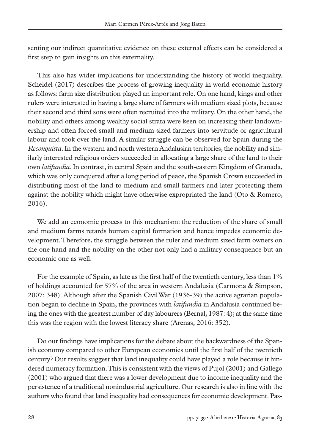senting our indirect quantitative evidence on these external effects can be considered a first step to gain insights on this externality.

This also has wider implications for understanding the history of world inequality. Scheidel (2017) describes the process of growing inequality in world economic history as follows: farm size distribution played an important role. On one hand, kings and other rulers were interested in having a large share of farmers with medium sized plots, because their second and third sons were often recruited into the military. On the other hand, the nobility and others among wealthy social strata were keen on increasing their landownership and often forced small and medium sized farmers into servitude or agricultural labour and took over the land. A similar struggle can be observed for Spain during the *Reconquista*. In the western and north western Andalusian territories, the nobility and similarly interested religious orders succeeded in allocating a large share of the land to their own *latifundia*. In contrast, in central Spain and the south-eastern Kingdom of Granada, which was only conquered after a long period of peace, the Spanish Crown succeeded in distributing most of the land to medium and small farmers and later protecting them against the nobility which might have otherwise expropriated the land (Oto & Romero, 2016).

We add an economic process to this mechanism: the reduction of the share of small and medium farms retards human capital formation and hence impedes economic development. Therefore, the struggle between the ruler and medium sized farm owners on the one hand and the nobility on the other not only had a military consequence but an economic one as well.

For the example of Spain, as late as the first half of the twentieth century, less than 1% of holdings accounted for 57% of the area in western Andalusia (Carmona & Simpson, 2007: 348). Although after the Spanish Civil War (1936-39) the active agrarian population began to decline in Spain, the provinces with *latifundia* in Andalusia continued being the ones with the greatest number of day labourers (Bernal, 1987: 4); at the same time this was the region with the lowest literacy share (Arenas, 2016: 352).

Do our findings have implications for the debate about the backwardness of the Spanish economy compared to other European economies until the first half of the twentieth century? Our results suggest that land inequality could have played a role because it hindered numeracy formation. This is consistent with the views of Pujol (2001) and Gallego (2001) who argued that there was a lower development due to income inequality and the persistence of a traditional nonindustrial agriculture. Our research is also in line with the authors who found that land inequality had consequences for economic development. Pas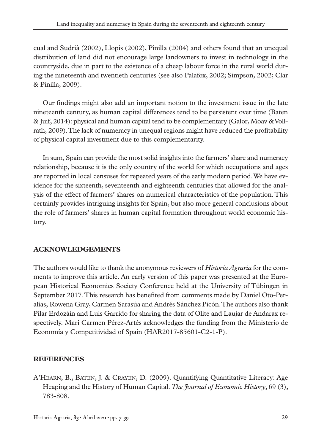cual and Sudrià (2002), Llopis (2002), Pinilla (2004) and others found that an unequal distribution of land did not encourage large landowners to invest in technology in the countryside, due in part to the existence of a cheap labour force in the rural world during the nineteenth and twentieth centuries (see also Palafox, 2002; Simpson, 2002; Clar & Pinilla, 2009).

Our findings might also add an important notion to the investment issue in the late nineteenth century, as human capital differences tend to be persistent over time (Baten & Juif, 2014): physical and human capital tend to be complementary (Galor, Moav & Vollrath, 2009). The lack of numeracy in unequal regions might have reduced the profitability of physical capital investment due to this complementarity.

In sum, Spain can provide the most solid insights into the farmers' share and numeracy relationship, because it is the only country of the world for which occupations and ages are reported in local censuses for repeated years of the early modern period. We have evidence for the sixteenth, seventeenth and eighteenth centuries that allowed for the analysis of the effect of farmers' shares on numerical characteristics of the population. This certainly provides intriguing insights for Spain, but also more general conclusions about the role of farmers' shares in human capital formation throughout world economic history.

# **ACKNOWLEDGEMENTS**

The authors would like to thank the anonymous reviewers of *Historia Agraria* for the comments to improve this article. An early version of this paper was presented at the European Historical Economics Society Conference held at the University of Tübingen in September 2017. This research has benefited from comments made by Daniel Oto-Peralías, Rowena Gray, Carmen Sarasúa and Andrés Sánchez Picón. The authors also thank Pilar Erdozáin and Luis Garrido for sharing the data of Olite and Laujar de Andarax respectively. Mari Carmen Pérez-Artés acknowledges the funding from the Ministerio de Economía y Competitividad of Spain (HAR2017-85601-C2-1-P).

# **REFERENCES**

A'HEARN, B., BATEN, J. & CRAYEN, D. (2009). Quantifying Quantitative Literacy: Age Heaping and the History of Human Capital. *The Journal of Economic History*, 69 (3), 783-808.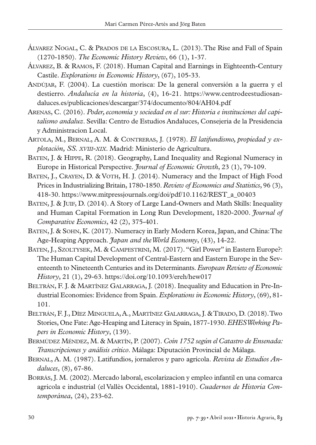- ÁLVAREZ NOGAL, C. & PRADOS DE LA ESCOSURA, L. (2013). The Rise and Fall of Spain (1270-1850). *The Economic History Review*, 66 (1), 1-37.
- ÁLVAREZ, B. & RAMOS, F. (2018). Human Capital and Earnings in Eighteenth-Century Castile. *Explorations in Economic History*, (67), 105-33.
- ANDÚJAR, F. (2004). La cuestión morisca: De la general conversión a la guerra y el destierro. *Andalucía en la historia*, (4), 16-21. https://www.centrodeestudiosandaluces.es/publicaciones/descargar/374/documento/804/AH04.pdf
- ARENAS, C. (2016). *Poder, economía y sociedad en el sur: Historia e instituciones del capitalismo andaluz*. Sevilla: Centro de Estudios Andaluces, Consejeria de la Presidencia y Administracion Local.
- ARTOLA, M., BERNAL, A. M. & CONTRERAS, J. (1978). *El latifundismo, propiedad y explotación, SS. XVIII-XIX*. Madrid: Ministerio de Agricultura.
- BATEN, J. & HIPPE, R. (2018). Geography, Land Inequality and Regional Numeracy in Europe in Historical Perspective. *Journal of Economic Growth*, 23 (1), 79-109.
- BATEN, J., CRAYEN, D. & VOTH, H. J. (2014). Numeracy and the Impact of High Food Prices in Industrializing Britain, 1780-1850. *Review of Economics and Statistics*, 96 (3), 418-30. https://www.mitpressjournals.org/doi/pdf/10.1162/REST\_a\_00403
- BATEN, J. & JUIF, D. (2014). A Story of Large Land-Owners and Math Skills: Inequality and Human Capital Formation in Long Run Development, 1820-2000. *Journal of Comparative Economics*, 42 (2), 375-401.
- BATEN, J. & SOHN, K. (2017). Numeracy in Early Modern Korea, Japan, and China: The Age-Heaping Approach. *Japan and the World Economy*, (43), 14-22.
- BATEN, J., SZOLTYSEK, M. & CAMPESTRINI, M. (2017). "Girl Power" in Eastern Europe?: The Human Capital Development of Central-Eastern and Eastern Europe in the Seventeenth to Nineteenth Centuries and its Determinants. *European Review of Economic History*, 21 (1), 29-63. https://doi.org/10.1093/ereh/hew017
- BELTRÁN, F. J. & MARTÍNEZ GALARRAGA, J. (2018). Inequality and Education in Pre-Industrial Economies: Evidence from Spain. *Explorations in Economic History*, (69), 81- 101.
- BELTRÁN, F. J., DÍEZ MINGUELA, A., MARTÍNEZ GALARRAGA, J. & TIRADO, D. (2018). Two Stories, One Fate: Age-Heaping and Literacy in Spain, 1877-1930. *EHES Working Papers in Economic History*, (139).
- BERMÚDEZ MÉNDEZ, M. & MARTÍN, P. (2007). *Coín 1752 según el Catastro de Ensenada: Transcripciones y análisis crítico*. Málaga: Diputación Provincial de Málaga.
- BERNAL, A. M. (1987). Latifundios, jornaleros y paro agrícola. *Revista de Estudios Andaluces*, (8), 67-86.
- BORRÁS, J. M. (2002). Mercado laboral, escolarizacion y empleo infantil en una comarca agricola e industrial (el Vallès Occidental, 1881-1910). *Cuadernos de Historia Contemporánea*, (24), 233-62.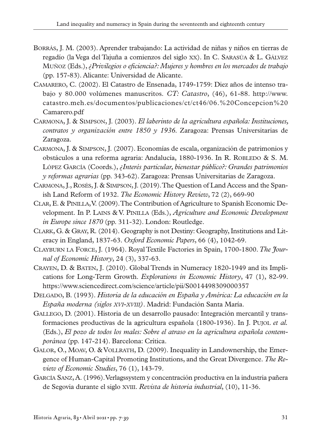- BORRÁS, J. M. (2003). Aprender trabajando: La actividad de niñas y niños en tierras de regadío (la Vega del Tajuña a comienzos del siglo XX). In C. SARASÚA & L. GÁLVEZ MUÑOZ (Eds.), *¿Privilegios o eficiencia?: Mujeres y hombres en los mercados de trabajo* (pp. 157-83). Alicante: Universidad de Alicante.
- CAMARERO, C. (2002). El Catastro de Ensenada, 1749-1759: Diez años de intenso trabajo y 80.000 volúmenes manuscritos. *CT: Catastro*, (46), 61-88. http://www. catastro.meh.es/documentos/publicaciones/ct/ct46/06.%20Concepcion%20 Camarero.pdf
- CARMONA, J. & SIMPSON, J. (2003). *El laberinto de la agricultura española: Instituciones, contratos y organización entre 1850 y 1936*. Zaragoza: Prensas Universitarias de Zaragoza.
- CARMONA, J. & SIMPSON, J. (2007). Economías de escala, organización de patrimonios y obstáculos a una reforma agraria: Andalucía, 1880-1936. In R. ROBLEDO & S. M. LÓPEZ GARCÍA (Coords.), *¿Interés particular, bienestar público?: Grandes patrimonios y reformas agrarias* (pp. 343-62). Zaragoza: Prensas Universitarias de Zaragoza.
- CARMONA, J., ROSÉS, J. & SIMPSON, J. (2019). The Question of Land Access and the Spanish Land Reform of 1932. *The Economic History Review*, 72 (2), 669-90
- CLAR, E. & PINILLA, V. (2009). The Contribution of Agriculture to Spanish Economic Development. In P. LAINS & V. PINILLA (Eds.), *Agriculture and Economic Development in Europe since 1870* (pp. 311-32). London: Routledge.
- CLARK, G. & GRAY, R. (2014). Geography is not Destiny: Geography, Institutions and Literacy in England, 1837-63. *Oxford Economic Papers*, 66 (4), 1042-69.
- CLAYBURN LA FORCE, J. (1964). Royal Textile Factories in Spain, 1700-1800. *The Journal of Economic History*, 24 (3), 337-63.
- CRAYEN, D. & BATEN, J. (2010). Global Trends in Numeracy 1820-1949 and its Implications for Long-Term Growth. *Explorations in Economic History*, 47 (1), 82-99. https://www.sciencedirect.com/science/article/pii/S0014498309000357
- DELGADO, B. (1993). *Historia de la educación en España y América: La educación en la España moderna (siglos XVI-XVIII)*. Madrid: Fundación Santa María.
- GALLEGO, D. (2001). Historia de un desarrollo pausado: Integración mercantil y transformaciones productivas de la agricultura española (1800-1936). In J. PUJOL *et al.* (Eds.), *El pozo de todos los males: Sobre el atraso en la agricultura española contemporánea* (pp. 147-214). Barcelona: Crítica.
- GALOR, O., MOAV, O. & VOLLRATH, D. (2009). Inequality in Landownership, the Emergence of Human-Capital Promoting Institutions, and the Great Divergence. *The Review of Economic Studies*, 76 (1), 143-79.
- GARCÍA SANZ, A. (1996). Verlagssystem y concentración productiva en la industria pañera de Segovia durante el siglo XVIII. *Revista de historia industrial*, (10), 11-36.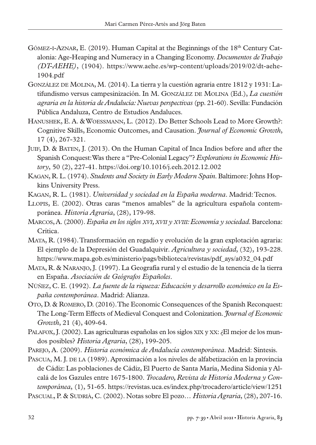- GÓMEZ-I-AZNAR, E.  $(2019)$ . Human Capital at the Beginnings of the 18<sup>th</sup> Century Catalonia: Age-Heaping and Numeracy in a Changing Economy. *Documentos de Trabajo (DT-AEHE)*, (1904). https://www.aehe.es/wp-content/uploads/2019/02/dt-aehe-1904.pdf
- GONZÁLEZ DE MOLINA, M. (2014). La tierra y la cuestión agraria entre 1812 y 1931: Latifundismo versus campesinización. In M. GONZÁLEZ DE MOLINA (Ed.), *La cuestión agraria en la historia de Andalucía: Nuevas perspectivas* (pp. 21-60). Sevilla: Fundación Pública Andaluza, Centro de Estudios Andaluces.
- HANUSHEK, E. A. & WOESSMANN, L. (2012). Do Better Schools Lead to More Growth?: Cognitive Skills, Economic Outcomes, and Causation. *Journal of Economic Growth*, 17 (4), 267-321.
- JUIF, D. & BATEN, J. (2013). On the Human Capital of Inca Indios before and after the Spanish Conquest: Was there a "Pre-Colonial Legacy"? *Explorations in Economic History*, 50 (2), 227-41. https://doi.org/10.1016/j.eeh.2012.12.002
- KAGAN, R. L. (1974). *Students and Society in Early Modern Spain*. Baltimore: Johns Hopkins University Press.
- KAGAN, R. L. (1981). *Universidad y sociedad en la España moderna*. Madrid: Tecnos.
- LLOPIS, E. (2002). Otras caras "menos amables" de la agricultura española contemporánea. *Historia Agraria*, (28), 179-98.
- MARCOS, A. (2000). *España en los siglos XVI, XVII y XVIII: Economía y sociedad*. Barcelona: Crítica.
- MATA, R. (1984). Transformación en regadío y evolución de la gran explotación agraria: El ejemplo de la Depresión del Guadalquivir. *Agricultura y sociedad*, (32), 193-228. https://www.mapa.gob.es/ministerio/pags/biblioteca/revistas/pdf\_ays/a032\_04.pdf
- MATA, R. & NARANJO, J. (1997). La Geografía rural y el estudio de la tenencia de la tierra en España. *Asociación de Geógrafos Españoles*.
- NÚÑEZ, C. E. (1992). *La fuente de la riqueza: Educación y desarrollo económico en la España contemporánea*. Madrid: Alianza.
- OTO, D. & ROMERO, D. (2016). The Economic Consequences of the Spanish Reconquest: The Long-Term Effects of Medieval Conquest and Colonization. *Journal of Economic Growth*, 21 (4), 409-64.
- PALAFOX, J. (2002). Las agriculturas españolas en los siglos XIX y XX: ¿El mejor de los mundos posibles? *Historia Agraria*, (28), 199-205.

PAREJO, A. (2009). *Historia económica de Andalucía contemporánea*. Madrid: Síntesis.

PASCUA, M. J. DE LA (1989). Aproximación a los niveles de alfabetización en la provincia de Cádiz: Las poblaciones de Cádiz, El Puerto de Santa María, Medina Sidonia y Alcalá de los Gazules entre 1675-1800. *Trocadero, Revista de Historia Moderna y Contemporánea*, (1), 51-65. https://revistas.uca.es/index.php/trocadero/article/view/1251

PASCUAL, P. & SUDRIÀ, C. (2002). Notas sobre El pozo… *Historia Agraria*, (28), 207-16.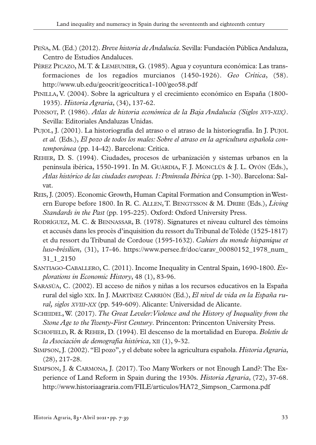- PEÑA, M. (Ed.) (2012). *Breve historia de Andalucía*. Sevilla: Fundación Pública Andaluza, Centro de Estudios Andaluces.
- PÉREZ PICAZO, M. T. & LEMEUNIER, G. (1985). Agua y coyuntura económica: Las transformaciones de los regadíos murcianos (1450-1926). *Geo Crítica*, (58). http://www.ub.edu/geocrit/geocritica1-100/geo58.pdf
- PINILLA, V. (2004). Sobre la agricultura y el crecimiento económico en España (1800- 1935). *Historia Agraria*, (34), 137-62.
- PONSOT, P. (1986). *Atlas de historia económica de la Baja Andalucía (Siglos XVI-XIX)*. Sevilla: Editoriales Andaluzas Unidas.
- PUJOL, J. (2001). La historiografía del atraso o el atraso de la historiografía. In J. PUJOL *et al.* (Eds.), *El pozo de todos los males: Sobre el atraso en la agricultura española contemporánea* (pp. 14-42). Barcelona: Crítica.
- REHER, D. S. (1994). Ciudades, procesos de urbanización y sistemas urbanos en la península ibérica, 1550-1991. In M. GUÀRDIA, F. J. MONCLÚS & J. L. OYÓN (Eds.), *Atlas histórico de las ciudades europeas. 1: Península Ibérica* (pp. 1-30). Barcelona: Salvat.
- REIS, J. (2005). Economic Growth, Human Capital Formation and Consumption in Western Europe before 1800. In R. C. ALLEN, T. BENGTSSON & M. DRIBE (Eds.), *Living Standards in the Past* (pp. 195-225). Oxford: Oxford University Press.
- RODRÍGUEZ, M. C. & BENNASSAR, B. (1978). Signatures et niveau culturel des témoins et accusés dans les procès d'inquisition du ressort du Tribunal de Tolède (1525-1817) et du ressort du Tribunal de Cordoue (1595-1632). *Cahiers du monde hispanique et luso-brésilien*, (31), 17-46. https://www.persee.fr/doc/carav\_00080152\_1978\_num\_ 31\_1\_2150
- SANTIAGO-CABALLERO, C. (2011). Income Inequality in Central Spain, 1690-1800*. Explorations in Economic History*, 48 (1), 83-96.
- SARASÚA, C. (2002). El acceso de niños y niñas a los recursos educativos en la España rural del siglo XIX. In J. MARTÍNEZ CARRIÓN (Ed.), *El nivel de vida en la España rural, siglos XVIII-XX* (pp. 549-609). Alicante: Universidad de Alicante.
- SCHEIDEL, W. (2017). *The Great Leveler: Violence and the History of Inequality from the Stone Age to the Twenty-First Century*. Princenton: Princenton University Press.
- SCHOFIELD, R. & REHER, D. (1994). El descenso de la mortalidad en Europa. *Boletín de la Asociación de demografía histórica*, XII (1), 9-32.
- SIMPSON, J. (2002). "El pozo", y el debate sobre la agricultura española. *Historia Agraria*, (28), 217-28.
- SIMPSON, J. & CARMONA, J. (2017). Too Many Workers or not Enough Land?: The Experience of Land Reform in Spain during the 1930s. *Historia Agraria*, (72), 37-68. http://www.historiaagraria.com/FILE/articulos/HA72\_Simpson\_Carmona.pdf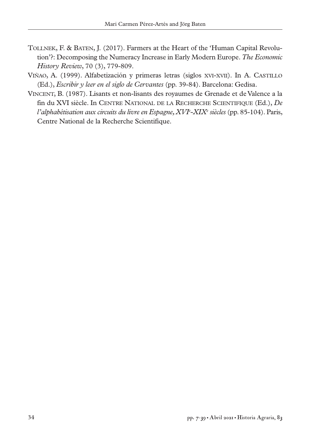- TOLLNEK, F. & BATEN, J. (2017). Farmers at the Heart of the 'Human Capital Revolution'?: Decomposing the Numeracy Increase in Early Modern Europe. *The Economic History Review*, 70 (3), 779-809.
- VIÑAO, A. (1999). Alfabetización y primeras letras (siglos XVI-XVII). In A. CASTILLO (Ed.), *Escribir y leer en el siglo de Cervantes* (pp. 39-84). Barcelona: Gedisa.
- VINCENT, B. (1987). Lisants et non-lisants des royaumes de Grenade et de Valence a la fin du XVI siècle. In CENTRE NATIONAL DE LA RECHERCHE SCIENTIFIQUE (Ed.), *De l'alphabétisation aux circuits du livre en Espagne, XVIe -XIXe siècles* (pp. 85-104). Paris, Centre National de la Recherche Scientifique.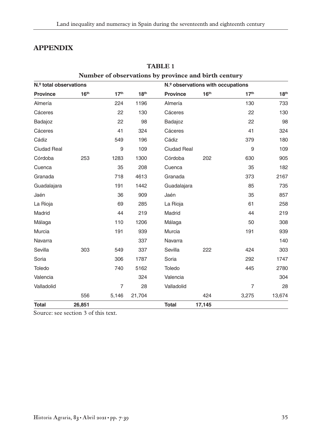# **APPENDIX**

|                        |                  |                  |                  | Number of observations by province and birth century |                                   |                  |                  |
|------------------------|------------------|------------------|------------------|------------------------------------------------------|-----------------------------------|------------------|------------------|
| N.º total observations |                  |                  |                  |                                                      | N.º observations with occupations |                  |                  |
| <b>Province</b>        | 16 <sup>th</sup> | 17 <sup>th</sup> | 18 <sup>th</sup> | <b>Province</b>                                      | 16 <sup>th</sup>                  | 17 <sup>th</sup> | 18 <sup>th</sup> |
| Almería                |                  | 224              | 1196             | Almería                                              |                                   | 130              | 733              |
| Cáceres                |                  | 22               | 130              | Cáceres                                              |                                   | 22               | 130              |
| Badajoz                |                  | 22               | 98               | Badajoz                                              |                                   | 22               | 98               |
| Cáceres                |                  | 41               | 324              | Cáceres                                              |                                   | 41               | 324              |
| Cádiz                  |                  | 549              | 196              | Cádiz                                                |                                   | 379              | 180              |
| <b>Ciudad Real</b>     |                  | 9                | 109              | <b>Ciudad Real</b>                                   |                                   | 9                | 109              |
| Córdoba                | 253              | 1283             | 1300             | Córdoba                                              | 202                               | 630              | 905              |
| Cuenca                 |                  | 35               | 208              | Cuenca                                               |                                   | 35               | 182              |
| Granada                |                  | 718              | 4613             | Granada                                              |                                   | 373              | 2167             |
| Guadalajara            |                  | 191              | 1442             | Guadalajara                                          |                                   | 85               | 735              |
| Jaén                   |                  | 36               | 909              | Jaén                                                 |                                   | 35               | 857              |
| La Rioja               |                  | 69               | 285              | La Rioja                                             |                                   | 61               | 258              |
| Madrid                 |                  | 44               | 219              | Madrid                                               |                                   | 44               | 219              |
| Málaga                 |                  | 110              | 1206             | Málaga                                               |                                   | 50               | 308              |
| <b>Murcia</b>          |                  | 191              | 939              | Murcia                                               |                                   | 191              | 939              |
| Navarra                |                  |                  | 337              | <b>Navarra</b>                                       |                                   |                  | 140              |
| Sevilla                | 303              | 549              | 337              | Sevilla                                              | 222                               | 424              | 303              |
| Soria                  |                  | 306              | 1787             | Soria                                                |                                   | 292              | 1747             |
| Toledo                 |                  | 740              | 5162             | Toledo                                               |                                   | 445              | 2780             |
| Valencia               |                  |                  | 324              | Valencia                                             |                                   |                  | 304              |
| Valladolid             |                  | $\overline{7}$   | 28               | Valladolid                                           |                                   | $\overline{7}$   | 28               |
|                        | 556              | 5,146            | 21,704           |                                                      | 424                               | 3,275            | 13,674           |
| <b>Total</b>           | 26,851           |                  |                  | <b>Total</b>                                         | 17,145                            |                  |                  |

# **TABLE 1**

Source: see section 3 of this text.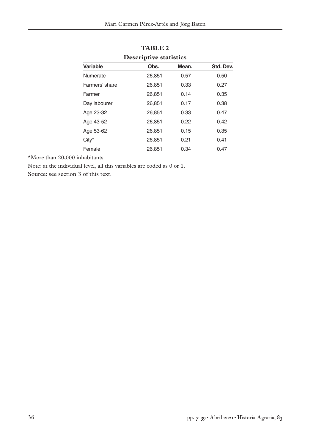| Descriptive statistics |        |       |           |  |
|------------------------|--------|-------|-----------|--|
| Variable               | Obs.   | Mean. | Std. Dev. |  |
| Numerate               | 26,851 | 0.57  | 0.50      |  |
| Farmers' share         | 26,851 | 0.33  | 0.27      |  |
| Farmer                 | 26.851 | 0.14  | 0.35      |  |
| Day labourer           | 26,851 | 0.17  | 0.38      |  |
| Age 23-32              | 26,851 | 0.33  | 0.47      |  |
| Age 43-52              | 26.851 | 0.22  | 0.42      |  |
| Age 53-62              | 26,851 | 0.15  | 0.35      |  |
| $City^*$               | 26.851 | 0.21  | 0.41      |  |
| Female                 | 26,851 | 0.34  | 0.47      |  |

**TABLE 2 Descriptive statistics** 

\*More than 20,000 inhabitants.

Note: at the individual level, all this variables are coded as 0 or 1.

Source: see section 3 of this text.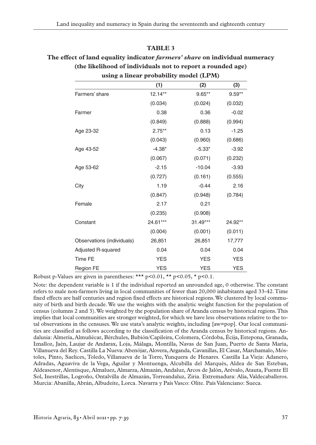#### **TABLE 3**

# **The effect of land equality indicator** *farmers' share* **on individual numeracy (the likelihood of individuals not to report a rounded age)**

|                            |            | $\mu$ sing a lincar probability moder (ET $\mu$ ) |            |
|----------------------------|------------|---------------------------------------------------|------------|
|                            | (1)        | (2)                                               | (3)        |
| Farmers' share             | $12.14**$  | $9.65**$                                          | $9.59**$   |
|                            | (0.034)    | (0.024)                                           | (0.032)    |
| Farmer                     | 0.38       | 0.36                                              | $-0.02$    |
|                            | (0.849)    | (0.888)                                           | (0.994)    |
| Age 23-32                  | $2.75***$  | 0.13                                              | $-1.25$    |
|                            | (0.043)    | (0.960)                                           | (0.686)    |
| Age 43-52                  | $-4.38*$   | $-5.33*$                                          | $-3.92$    |
|                            | (0.067)    | (0.071)                                           | (0.232)    |
| Age 53-62                  | $-2.15$    | $-10.04$                                          | $-3.93$    |
|                            | (0.727)    | (0.161)                                           | (0.555)    |
| City                       | 1.19       | $-0.44$                                           | 2.16       |
|                            | (0.847)    | (0.948)                                           | (0.784)    |
| Female                     | 2.17       | 0.21                                              |            |
|                            | (0.235)    | (0.908)                                           |            |
| Constant                   | 24.61***   | $31.49***$                                        | 24.92**    |
|                            | (0.004)    | (0.001)                                           | (0.011)    |
| Observations (individuals) | 26,851     | 26,851                                            | 17,777     |
| Adjusted R-squared         | 0.04       | 0.04                                              | 0.04       |
| <b>Time FE</b>             | <b>YES</b> | <b>YES</b>                                        | <b>YES</b> |
| Region FE                  | <b>YES</b> | <b>YES</b>                                        | <b>YES</b> |

**using a linear probability model (LPM)**

Robust p-Values are given in parentheses: \*\*\*  $p<0.01$ , \*\*  $p<0.05$ , \*  $p<0.1$ .

Note: the dependent variable is 1 if the individual reported an unrounded age, 0 otherwise. The constant refers to male non-farmers living in local communities of fewer than 20,000 inhabitants aged 33-42. Time fixed effects are half centuries and region fixed effects are historical regions. We clustered by local community of birth and birth decade. We use the weights with the analytic weight function for the population of census (columns 2 and 3). We weighted by the population share of Aranda census by historical regions. This implies that local communities are stronger weighted, for which we have less observations relative to the total observations in the censuses. We use stata's analytic weights, including [aw=pop]. Our local communities are classified as follows according to the classification of the Aranda census by historical regions. Andalusia: Almería, Almuñécar, Bérchules, Bubión/Capileira, Colomera, Córdoba, Écija, Estepona, Granada, Iznalloz, Jaén, Laujar de Andarax, Loja, Málaga, Montilla, Navas de San Juan, Puerto de Santa María, Villanueva del Rey. Castilla La Nueva: Abenójar, Alovera, Arganda, Cavanillas, El Casar, Marchamalo, Móstoles, Pinto, Saelices, Toledo, Villanueva de la Torre, Yunquera de Henares. Castilla La Vieja: Adanero, Adradas, Aguaviva de la Vega, Aguilar y Montuenga, Alcubilla del Marqués, Aldea de San Esteban, Aldeasenor, Alentisque, Almaluez, Almarza, Almazán, Andaluz, Arcos de Jalón, Arévalo, Atauta, Fuente El Sol, Inestrillas, Logroño, Ontalvilla de Almazán, Torreandaluz, Ziria. Extremadura: Alía, Valdecaballeros. Murcia: Abanilla, Abrán, Albudeite, Lorca. Navarra y País Vasco: Olite. País Valenciano: Sueca.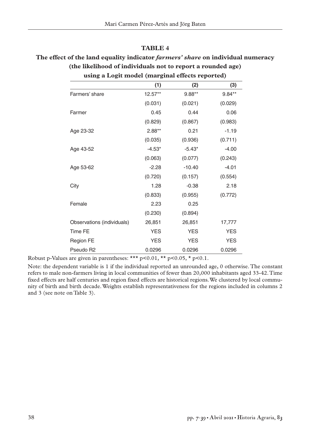#### **TABLE 4**

# **The effect of the land equality indicator** *farmers' share* **on individual numeracy (the likelihood of individuals not to report a rounded age)**

| using a Logit model (marginal effects reported) |            |            |            |
|-------------------------------------------------|------------|------------|------------|
|                                                 | (1)        | (2)        | (3)        |
| Farmers' share                                  | $12.57**$  | $9.88**$   | $9.84**$   |
|                                                 | (0.031)    | (0.021)    | (0.029)    |
| Farmer                                          | 0.45       | 0.44       | 0.06       |
|                                                 | (0.829)    | (0.867)    | (0.983)    |
| Age 23-32                                       | $2.88**$   | 0.21       | $-1.19$    |
|                                                 | (0.035)    | (0.936)    | (0.711)    |
| Age 43-52                                       | $-4.53*$   | $-5.43*$   | $-4.00$    |
|                                                 | (0.063)    | (0.077)    | (0.243)    |
| Age 53-62                                       | $-2.28$    | $-10.40$   | $-4.01$    |
|                                                 | (0.720)    | (0.157)    | (0.554)    |
| City                                            | 1.28       | $-0.38$    | 2.18       |
|                                                 | (0.833)    | (0.955)    | (0.772)    |
| Female                                          | 2.23       | 0.25       |            |
|                                                 | (0.230)    | (0.894)    |            |
| Observations (individuals)                      | 26,851     | 26,851     | 17,777     |
| Time FE                                         | <b>YES</b> | <b>YES</b> | <b>YES</b> |
| Region FE                                       | <b>YES</b> | <b>YES</b> | <b>YES</b> |
| Pseudo R2                                       | 0.0296     | 0.0296     | 0.0296     |

Robust p-Values are given in parentheses: \*\*\*  $p<0.01$ , \*\*  $p<0.05$ , \*  $p<0.1$ .

Note: the dependent variable is 1 if the individual reported an unrounded age, 0 otherwise. The constant refers to male non-farmers living in local communities of fewer than 20,000 inhabitants aged 33-42. Time fixed effects are half centuries and region fixed effects are historical regions. We clustered by local community of birth and birth decade. Weights establish representativeness for the regions included in columns 2 and 3 (see note on Table 3).